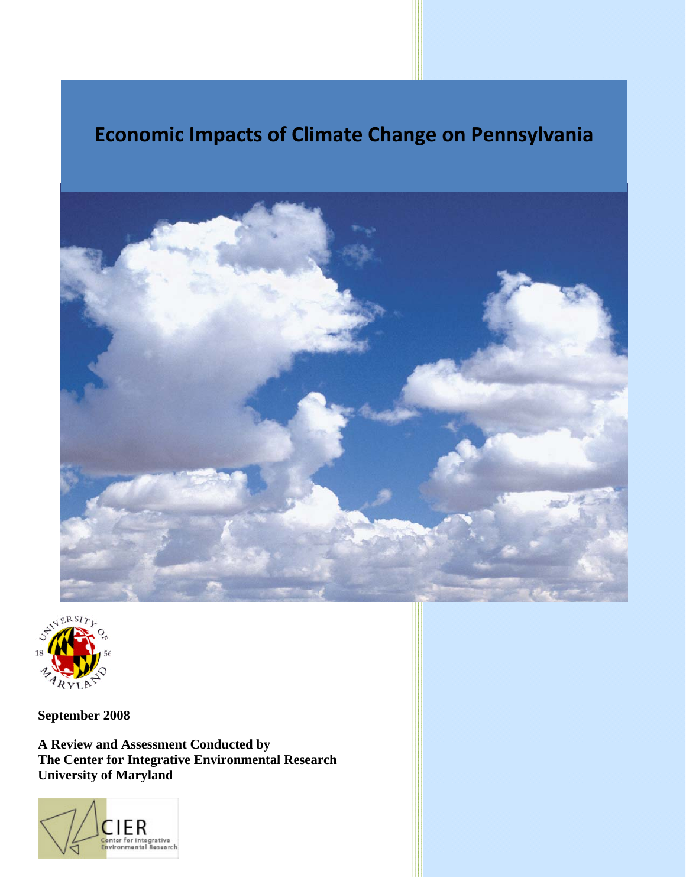# **Economic Impacts of Climate Change on Pennsylvania**





**September 2008** 

**A Review and Assessment Conducted by The Center for Integrative Environmental Research University of Maryland** 

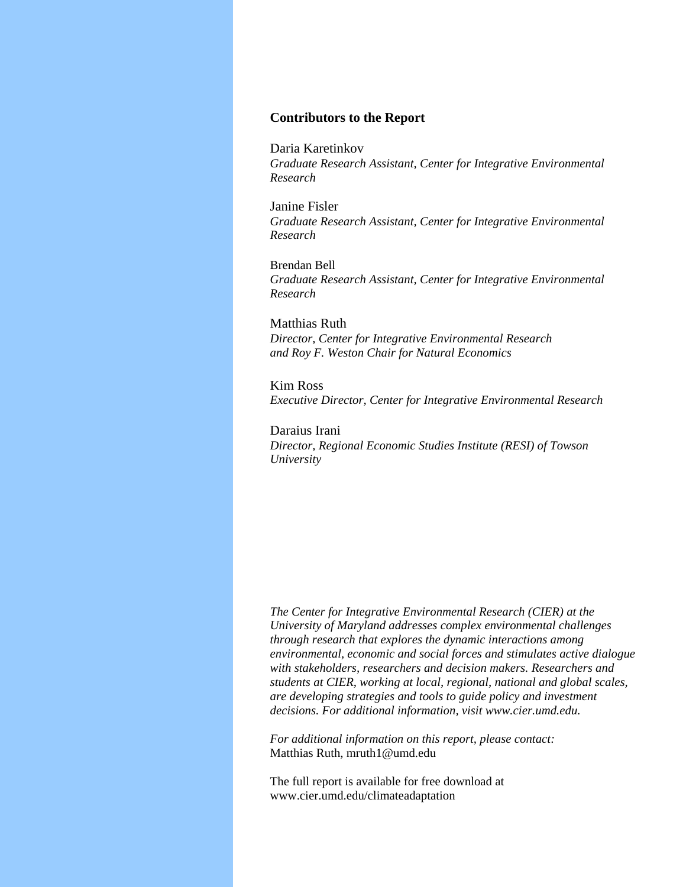#### **Contributors to the Report**

Daria Karetinkov *Graduate Research Assistant, Center for Integrative Environmental Research*

Janine Fisler *Graduate Research Assistant, Center for Integrative Environmental Research* 

Brendan Bell *Graduate Research Assistant, Center for Integrative Environmental Research*

#### Matthias Ruth *Director, Center for Integrative Environmental Research and Roy F. Weston Chair for Natural Economics*

Kim Ross *Executive Director, Center for Integrative Environmental Research* 

Daraius Irani *Director, Regional Economic Studies Institute (RESI) of Towson University* 

*The Center for Integrative Environmental Research (CIER) at the University of Maryland addresses complex environmental challenges through research that explores the dynamic interactions among environmental, economic and social forces and stimulates active dialogue with stakeholders, researchers and decision makers. Researchers and students at CIER, working at local, regional, national and global scales, are developing strategies and tools to guide policy and investment decisions. For additional information, visit www.cier.umd.edu.* 

*For additional information on this report, please contact:*  Matthias Ruth, mruth1@umd.edu

The full report is available for free download at www.cier.umd.edu/climateadaptation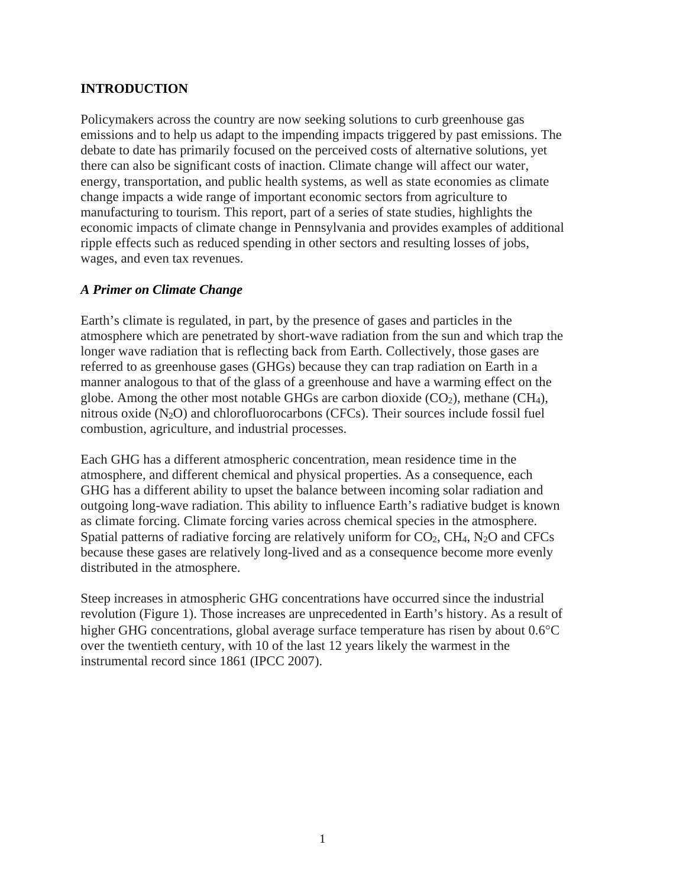## **INTRODUCTION**

Policymakers across the country are now seeking solutions to curb greenhouse gas emissions and to help us adapt to the impending impacts triggered by past emissions. The debate to date has primarily focused on the perceived costs of alternative solutions, yet there can also be significant costs of inaction. Climate change will affect our water, energy, transportation, and public health systems, as well as state economies as climate change impacts a wide range of important economic sectors from agriculture to manufacturing to tourism. This report, part of a series of state studies, highlights the economic impacts of climate change in Pennsylvania and provides examples of additional ripple effects such as reduced spending in other sectors and resulting losses of jobs, wages, and even tax revenues.

## *A Primer on Climate Change*

Earth's climate is regulated, in part, by the presence of gases and particles in the atmosphere which are penetrated by short-wave radiation from the sun and which trap the longer wave radiation that is reflecting back from Earth. Collectively, those gases are referred to as greenhouse gases (GHGs) because they can trap radiation on Earth in a manner analogous to that of the glass of a greenhouse and have a warming effect on the globe. Among the other most notable GHGs are carbon dioxide  $(CO_2)$ , methane  $(CH_4)$ , nitrous oxide  $(N_2O)$  and chlorofluorocarbons (CFCs). Their sources include fossil fuel combustion, agriculture, and industrial processes.

Each GHG has a different atmospheric concentration, mean residence time in the atmosphere, and different chemical and physical properties. As a consequence, each GHG has a different ability to upset the balance between incoming solar radiation and outgoing long-wave radiation. This ability to influence Earth's radiative budget is known as climate forcing. Climate forcing varies across chemical species in the atmosphere. Spatial patterns of radiative forcing are relatively uniform for  $CO_2$ ,  $CH_4$ ,  $N_2O$  and CFCs because these gases are relatively long-lived and as a consequence become more evenly distributed in the atmosphere.

Steep increases in atmospheric GHG concentrations have occurred since the industrial revolution (Figure 1). Those increases are unprecedented in Earth's history. As a result of higher GHG concentrations, global average surface temperature has risen by about  $0.6^{\circ}$ C over the twentieth century, with 10 of the last 12 years likely the warmest in the instrumental record since 1861 (IPCC 2007).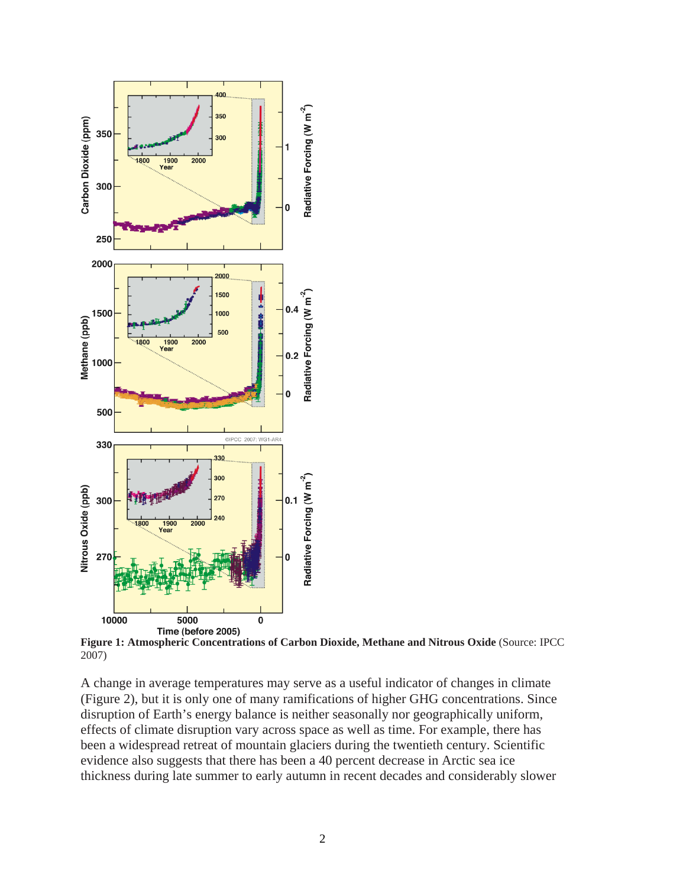

**Figure 1: Atmospheric Concentrations of Carbon Dioxide, Methane and Nitrous Oxide** (Source: IPCC 2007)

A change in average temperatures may serve as a useful indicator of changes in climate (Figure 2), but it is only one of many ramifications of higher GHG concentrations. Since disruption of Earth's energy balance is neither seasonally nor geographically uniform, effects of climate disruption vary across space as well as time. For example, there has been a widespread retreat of mountain glaciers during the twentieth century. Scientific evidence also suggests that there has been a 40 percent decrease in Arctic sea ice thickness during late summer to early autumn in recent decades and considerably slower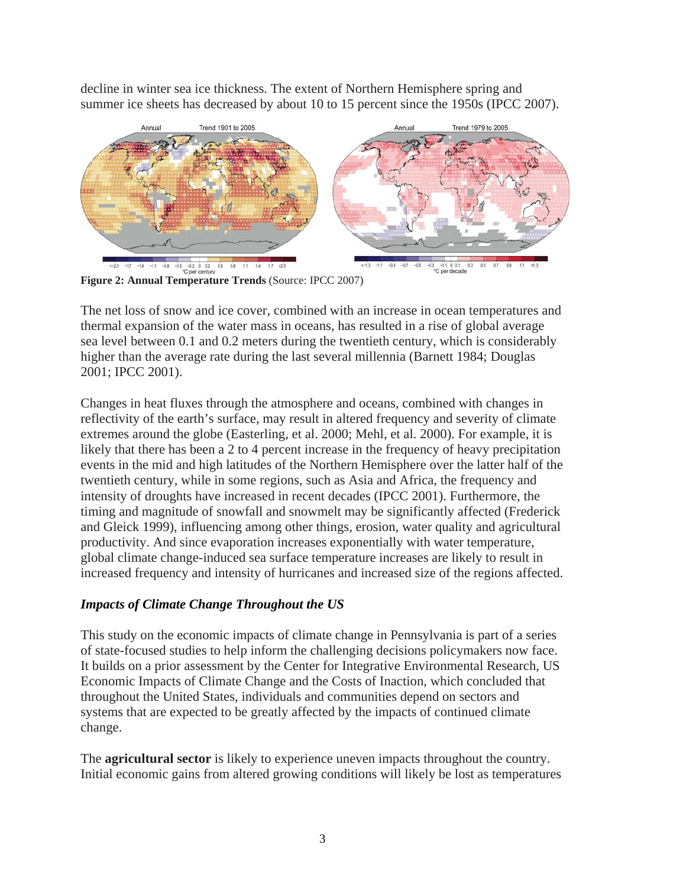decline in winter sea ice thickness. The extent of Northern Hemisphere spring and summer ice sheets has decreased by about 10 to 15 percent since the 1950s (IPCC 2007).



**Figure 2: Annual Temperature Trends** (Source: IPCC 2007)

The net loss of snow and ice cover, combined with an increase in ocean temperatures and thermal expansion of the water mass in oceans, has resulted in a rise of global average sea level between 0.1 and 0.2 meters during the twentieth century, which is considerably higher than the average rate during the last several millennia (Barnett 1984; Douglas 2001; IPCC 2001).

Changes in heat fluxes through the atmosphere and oceans, combined with changes in reflectivity of the earth's surface, may result in altered frequency and severity of climate extremes around the globe (Easterling, et al. 2000; Mehl, et al. 2000). For example, it is likely that there has been a 2 to 4 percent increase in the frequency of heavy precipitation events in the mid and high latitudes of the Northern Hemisphere over the latter half of the twentieth century, while in some regions, such as Asia and Africa, the frequency and intensity of droughts have increased in recent decades (IPCC 2001). Furthermore, the timing and magnitude of snowfall and snowmelt may be significantly affected (Frederick and Gleick 1999), influencing among other things, erosion, water quality and agricultural productivity. And since evaporation increases exponentially with water temperature, global climate change-induced sea surface temperature increases are likely to result in increased frequency and intensity of hurricanes and increased size of the regions affected.

# *Impacts of Climate Change Throughout the US*

This study on the economic impacts of climate change in Pennsylvania is part of a series of state-focused studies to help inform the challenging decisions policymakers now face. It builds on a prior assessment by the Center for Integrative Environmental Research, US Economic Impacts of Climate Change and the Costs of Inaction, which concluded that throughout the United States, individuals and communities depend on sectors and systems that are expected to be greatly affected by the impacts of continued climate change.

The **agricultural sector** is likely to experience uneven impacts throughout the country. Initial economic gains from altered growing conditions will likely be lost as temperatures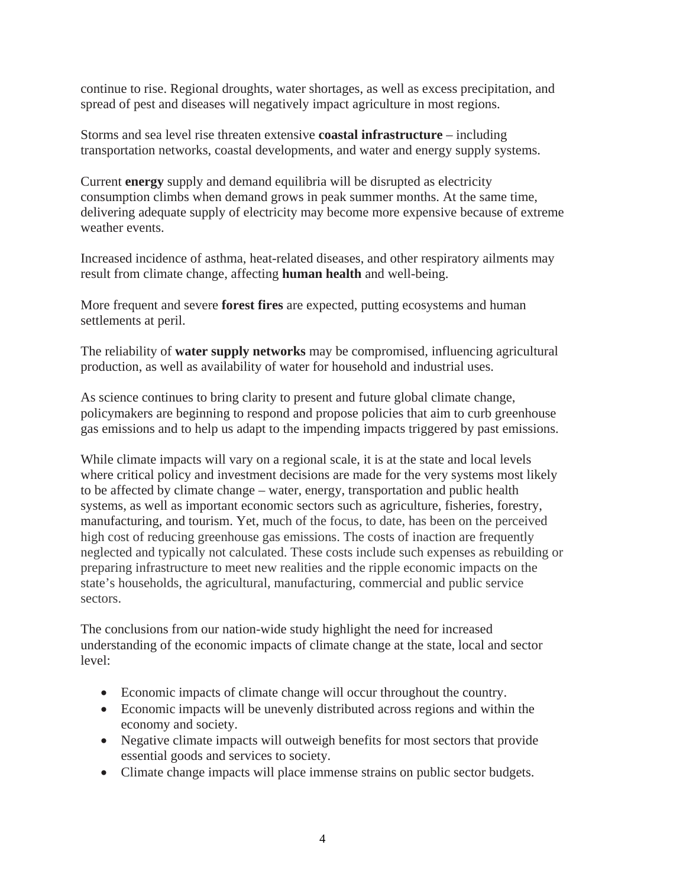continue to rise. Regional droughts, water shortages, as well as excess precipitation, and spread of pest and diseases will negatively impact agriculture in most regions.

Storms and sea level rise threaten extensive **coastal infrastructure** – including transportation networks, coastal developments, and water and energy supply systems.

Current **energy** supply and demand equilibria will be disrupted as electricity consumption climbs when demand grows in peak summer months. At the same time, delivering adequate supply of electricity may become more expensive because of extreme weather events.

Increased incidence of asthma, heat-related diseases, and other respiratory ailments may result from climate change, affecting **human health** and well-being.

More frequent and severe **forest fires** are expected, putting ecosystems and human settlements at peril.

The reliability of **water supply networks** may be compromised, influencing agricultural production, as well as availability of water for household and industrial uses.

As science continues to bring clarity to present and future global climate change, policymakers are beginning to respond and propose policies that aim to curb greenhouse gas emissions and to help us adapt to the impending impacts triggered by past emissions.

While climate impacts will vary on a regional scale, it is at the state and local levels where critical policy and investment decisions are made for the very systems most likely to be affected by climate change – water, energy, transportation and public health systems, as well as important economic sectors such as agriculture, fisheries, forestry, manufacturing, and tourism. Yet, much of the focus, to date, has been on the perceived high cost of reducing greenhouse gas emissions. The costs of inaction are frequently neglected and typically not calculated. These costs include such expenses as rebuilding or preparing infrastructure to meet new realities and the ripple economic impacts on the state's households, the agricultural, manufacturing, commercial and public service sectors.

The conclusions from our nation-wide study highlight the need for increased understanding of the economic impacts of climate change at the state, local and sector level:

- Economic impacts of climate change will occur throughout the country.
- Economic impacts will be unevenly distributed across regions and within the economy and society.
- Negative climate impacts will outweigh benefits for most sectors that provide essential goods and services to society.
- Climate change impacts will place immense strains on public sector budgets.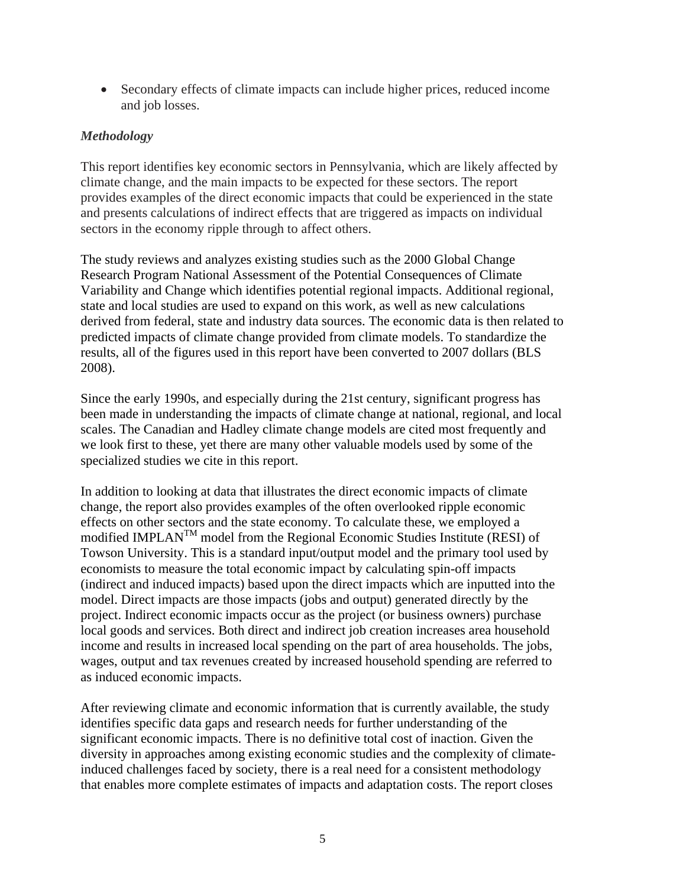• Secondary effects of climate impacts can include higher prices, reduced income and job losses.

#### *Methodology*

This report identifies key economic sectors in Pennsylvania, which are likely affected by climate change, and the main impacts to be expected for these sectors. The report provides examples of the direct economic impacts that could be experienced in the state and presents calculations of indirect effects that are triggered as impacts on individual sectors in the economy ripple through to affect others.

The study reviews and analyzes existing studies such as the 2000 Global Change Research Program National Assessment of the Potential Consequences of Climate Variability and Change which identifies potential regional impacts. Additional regional, state and local studies are used to expand on this work, as well as new calculations derived from federal, state and industry data sources. The economic data is then related to predicted impacts of climate change provided from climate models. To standardize the results, all of the figures used in this report have been converted to 2007 dollars (BLS 2008).

Since the early 1990s, and especially during the 21st century, significant progress has been made in understanding the impacts of climate change at national, regional, and local scales. The Canadian and Hadley climate change models are cited most frequently and we look first to these, yet there are many other valuable models used by some of the specialized studies we cite in this report.

In addition to looking at data that illustrates the direct economic impacts of climate change, the report also provides examples of the often overlooked ripple economic effects on other sectors and the state economy. To calculate these, we employed a modified IMPLANTM model from the Regional Economic Studies Institute (RESI) of Towson University. This is a standard input/output model and the primary tool used by economists to measure the total economic impact by calculating spin-off impacts (indirect and induced impacts) based upon the direct impacts which are inputted into the model. Direct impacts are those impacts (jobs and output) generated directly by the project. Indirect economic impacts occur as the project (or business owners) purchase local goods and services. Both direct and indirect job creation increases area household income and results in increased local spending on the part of area households. The jobs, wages, output and tax revenues created by increased household spending are referred to as induced economic impacts.

After reviewing climate and economic information that is currently available, the study identifies specific data gaps and research needs for further understanding of the significant economic impacts. There is no definitive total cost of inaction. Given the diversity in approaches among existing economic studies and the complexity of climateinduced challenges faced by society, there is a real need for a consistent methodology that enables more complete estimates of impacts and adaptation costs. The report closes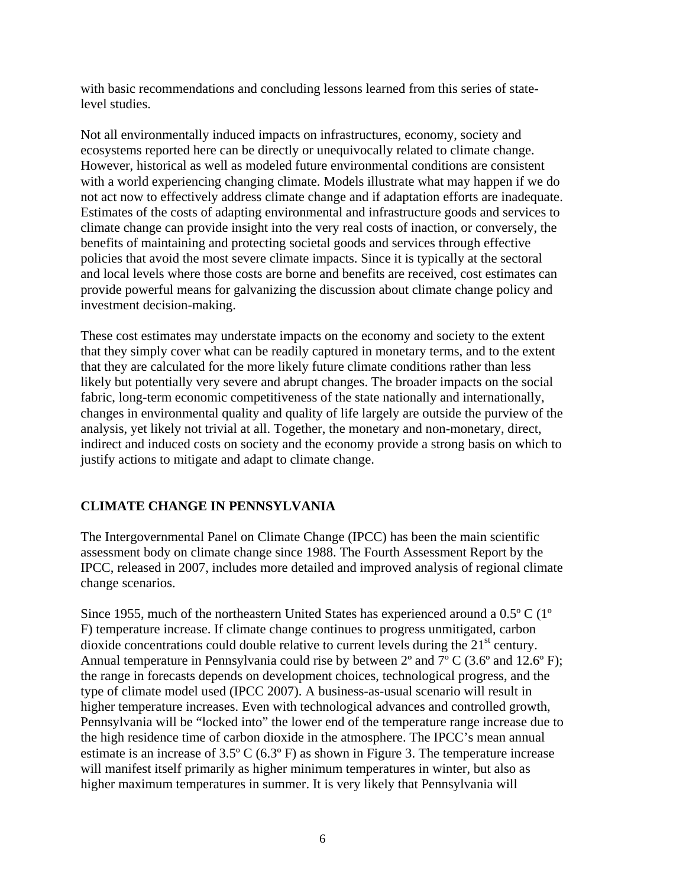with basic recommendations and concluding lessons learned from this series of statelevel studies.

Not all environmentally induced impacts on infrastructures, economy, society and ecosystems reported here can be directly or unequivocally related to climate change. However, historical as well as modeled future environmental conditions are consistent with a world experiencing changing climate. Models illustrate what may happen if we do not act now to effectively address climate change and if adaptation efforts are inadequate. Estimates of the costs of adapting environmental and infrastructure goods and services to climate change can provide insight into the very real costs of inaction, or conversely, the benefits of maintaining and protecting societal goods and services through effective policies that avoid the most severe climate impacts. Since it is typically at the sectoral and local levels where those costs are borne and benefits are received, cost estimates can provide powerful means for galvanizing the discussion about climate change policy and investment decision-making.

These cost estimates may understate impacts on the economy and society to the extent that they simply cover what can be readily captured in monetary terms, and to the extent that they are calculated for the more likely future climate conditions rather than less likely but potentially very severe and abrupt changes. The broader impacts on the social fabric, long-term economic competitiveness of the state nationally and internationally, changes in environmental quality and quality of life largely are outside the purview of the analysis, yet likely not trivial at all. Together, the monetary and non-monetary, direct, indirect and induced costs on society and the economy provide a strong basis on which to justify actions to mitigate and adapt to climate change.

# **CLIMATE CHANGE IN PENNSYLVANIA**

The Intergovernmental Panel on Climate Change (IPCC) has been the main scientific assessment body on climate change since 1988. The Fourth Assessment Report by the IPCC, released in 2007, includes more detailed and improved analysis of regional climate change scenarios.

Since 1955, much of the northeastern United States has experienced around a 0.5º C (1º F) temperature increase. If climate change continues to progress unmitigated, carbon dioxide concentrations could double relative to current levels during the  $21<sup>st</sup>$  century. Annual temperature in Pennsylvania could rise by between 2<sup>o</sup> and  $7^{\circ}$  C (3.6<sup>o</sup> and 12.6<sup>o</sup> F); the range in forecasts depends on development choices, technological progress, and the type of climate model used (IPCC 2007). A business-as-usual scenario will result in higher temperature increases. Even with technological advances and controlled growth, Pennsylvania will be "locked into" the lower end of the temperature range increase due to the high residence time of carbon dioxide in the atmosphere. The IPCC's mean annual estimate is an increase of 3.5º C (6.3º F) as shown in Figure 3. The temperature increase will manifest itself primarily as higher minimum temperatures in winter, but also as higher maximum temperatures in summer. It is very likely that Pennsylvania will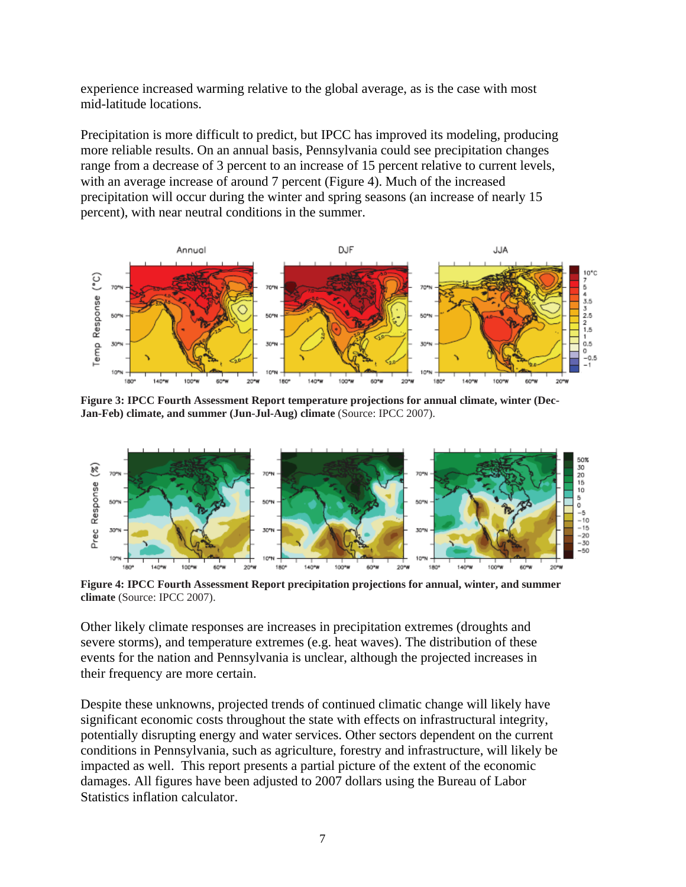experience increased warming relative to the global average, as is the case with most mid-latitude locations.

Precipitation is more difficult to predict, but IPCC has improved its modeling, producing more reliable results. On an annual basis, Pennsylvania could see precipitation changes range from a decrease of 3 percent to an increase of 15 percent relative to current levels, with an average increase of around 7 percent (Figure 4). Much of the increased precipitation will occur during the winter and spring seasons (an increase of nearly 15 percent), with near neutral conditions in the summer.



**Figure 3: IPCC Fourth Assessment Report temperature projections for annual climate, winter (Dec-Jan-Feb) climate, and summer (Jun-Jul-Aug) climate** (Source: IPCC 2007).



**Figure 4: IPCC Fourth Assessment Report precipitation projections for annual, winter, and summer climate** (Source: IPCC 2007).

Other likely climate responses are increases in precipitation extremes (droughts and severe storms), and temperature extremes (e.g. heat waves). The distribution of these events for the nation and Pennsylvania is unclear, although the projected increases in their frequency are more certain.

Despite these unknowns, projected trends of continued climatic change will likely have significant economic costs throughout the state with effects on infrastructural integrity, potentially disrupting energy and water services. Other sectors dependent on the current conditions in Pennsylvania, such as agriculture, forestry and infrastructure, will likely be impacted as well. This report presents a partial picture of the extent of the economic damages. All figures have been adjusted to 2007 dollars using the Bureau of Labor Statistics inflation calculator.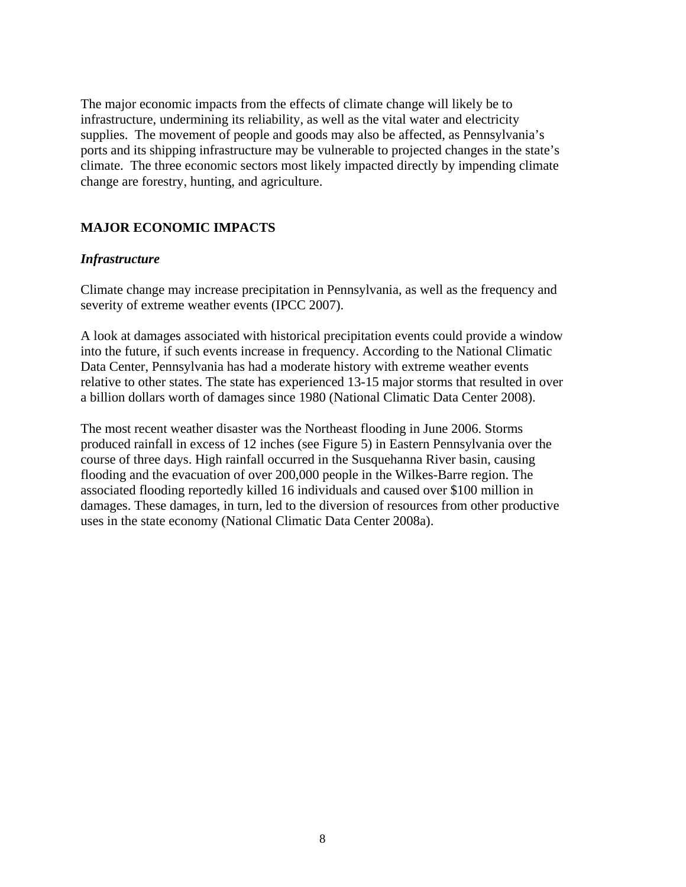The major economic impacts from the effects of climate change will likely be to infrastructure, undermining its reliability, as well as the vital water and electricity supplies. The movement of people and goods may also be affected, as Pennsylvania's ports and its shipping infrastructure may be vulnerable to projected changes in the state's climate. The three economic sectors most likely impacted directly by impending climate change are forestry, hunting, and agriculture.

#### **MAJOR ECONOMIC IMPACTS**

#### *Infrastructure*

Climate change may increase precipitation in Pennsylvania, as well as the frequency and severity of extreme weather events (IPCC 2007).

A look at damages associated with historical precipitation events could provide a window into the future, if such events increase in frequency. According to the National Climatic Data Center, Pennsylvania has had a moderate history with extreme weather events relative to other states. The state has experienced 13-15 major storms that resulted in over a billion dollars worth of damages since 1980 (National Climatic Data Center 2008).

The most recent weather disaster was the Northeast flooding in June 2006. Storms produced rainfall in excess of 12 inches (see Figure 5) in Eastern Pennsylvania over the course of three days. High rainfall occurred in the Susquehanna River basin, causing flooding and the evacuation of over 200,000 people in the Wilkes-Barre region. The associated flooding reportedly killed 16 individuals and caused over \$100 million in damages. These damages, in turn, led to the diversion of resources from other productive uses in the state economy (National Climatic Data Center 2008a).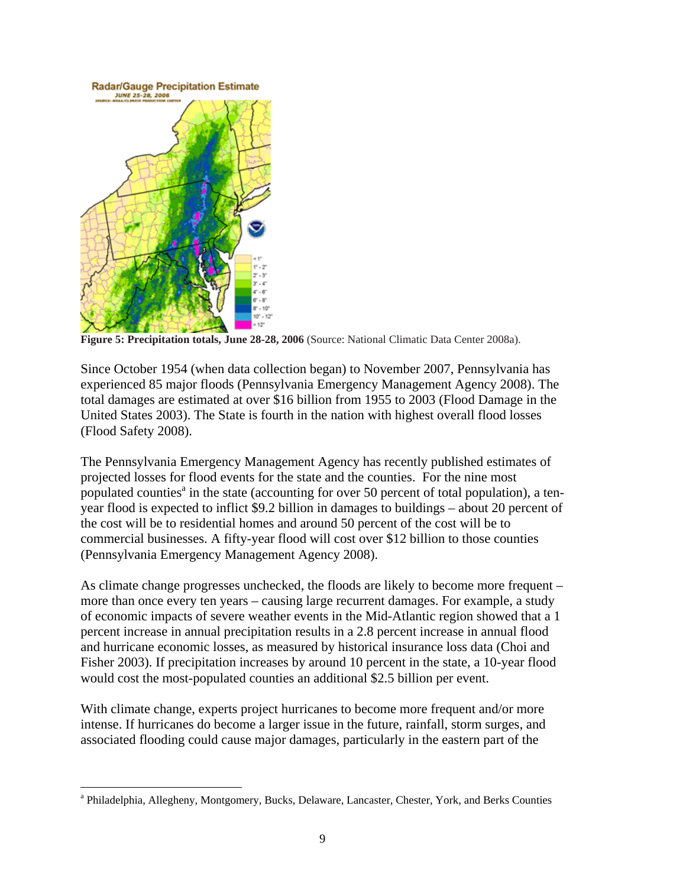**Radar/Gauge Precipitation Estimate JUNE 25-28, 2006**  $r - 10$ 

 $\overline{a}$ 

Figure 5: Precipitation totals, June 28-28, 2006 (Source: National Climatic Data Center 2008a).

 $10^{o} - 12$  $12$ 

Since October 1954 (when data collection began) to November 2007, Pennsylvania has experienced 85 major floods (Pennsylvania Emergency Management Agency 2008). The total damages are estimated at over \$16 billion from 1955 to 2003 (Flood Damage in the United States 2003). The State is fourth in the nation with highest overall flood losses (Flood Safety 2008).

The Pennsylvania Emergency Management Agency has recently published estimates of projected losses for flood events for the state and the counties. For the nine most populated counties<sup> $\alpha$ </sup> in the state (accounting for over 50 percent of total population), a tenyear flood is expected to inflict \$9.2 billion in damages to buildings – about 20 percent of the cost will be to residential homes and around 50 percent of the cost will be to commercial businesses. A fifty-year flood will cost over \$12 billion to those counties (Pennsylvania Emergency Management Agency 2008).

As climate change progresses unchecked, the floods are likely to become more frequent – more than once every ten years – causing large recurrent damages. For example, a study of economic impacts of severe weather events in the Mid-Atlantic region showed that a 1 percent increase in annual precipitation results in a 2.8 percent increase in annual flood and hurricane economic losses, as measured by historical insurance loss data (Choi and Fisher 2003). If precipitation increases by around 10 percent in the state, a 10-year flood would cost the most-populated counties an additional \$2.5 billion per event.

With climate change, experts project hurricanes to become more frequent and/or more intense. If hurricanes do become a larger issue in the future, rainfall, storm surges, and associated flooding could cause major damages, particularly in the eastern part of the

<sup>&</sup>lt;sup>a</sup> Philadelphia, Allegheny, Montgomery, Bucks, Delaware, Lancaster, Chester, York, and Berks Counties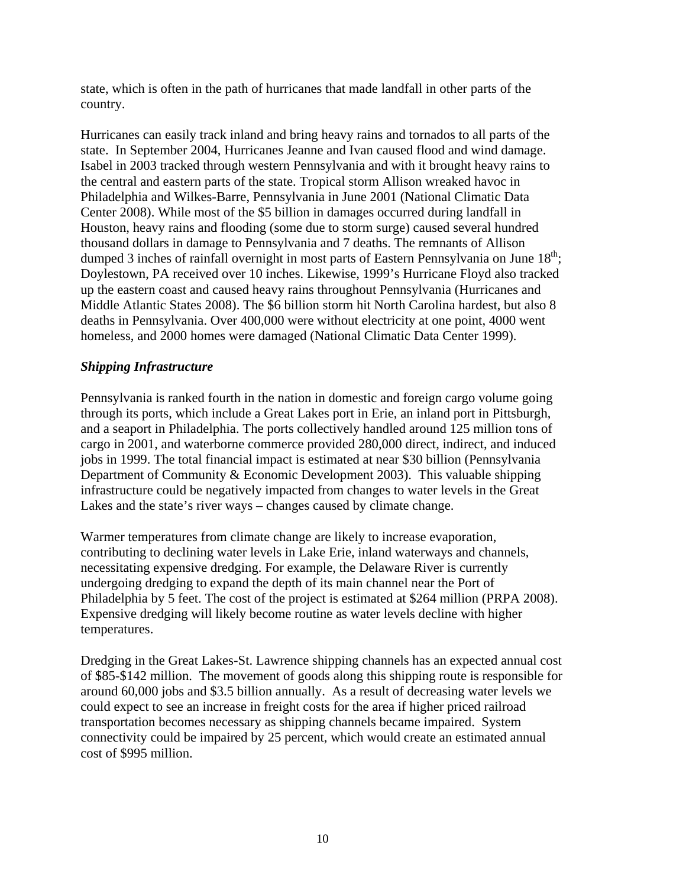state, which is often in the path of hurricanes that made landfall in other parts of the country.

Hurricanes can easily track inland and bring heavy rains and tornados to all parts of the state. In September 2004, Hurricanes Jeanne and Ivan caused flood and wind damage. Isabel in 2003 tracked through western Pennsylvania and with it brought heavy rains to the central and eastern parts of the state. Tropical storm Allison wreaked havoc in Philadelphia and Wilkes-Barre, Pennsylvania in June 2001 (National Climatic Data Center 2008). While most of the \$5 billion in damages occurred during landfall in Houston, heavy rains and flooding (some due to storm surge) caused several hundred thousand dollars in damage to Pennsylvania and 7 deaths. The remnants of Allison dumped 3 inches of rainfall overnight in most parts of Eastern Pennsylvania on June 18<sup>th</sup>; Doylestown, PA received over 10 inches. Likewise, 1999's Hurricane Floyd also tracked up the eastern coast and caused heavy rains throughout Pennsylvania (Hurricanes and Middle Atlantic States 2008). The \$6 billion storm hit North Carolina hardest, but also 8 deaths in Pennsylvania. Over 400,000 were without electricity at one point, 4000 went homeless, and 2000 homes were damaged (National Climatic Data Center 1999).

## *Shipping Infrastructure*

Pennsylvania is ranked fourth in the nation in domestic and foreign cargo volume going through its ports, which include a Great Lakes port in Erie, an inland port in Pittsburgh, and a seaport in Philadelphia. The ports collectively handled around 125 million tons of cargo in 2001, and waterborne commerce provided 280,000 direct, indirect, and induced jobs in 1999. The total financial impact is estimated at near \$30 billion (Pennsylvania Department of Community & Economic Development 2003). This valuable shipping infrastructure could be negatively impacted from changes to water levels in the Great Lakes and the state's river ways – changes caused by climate change.

Warmer temperatures from climate change are likely to increase evaporation, contributing to declining water levels in Lake Erie, inland waterways and channels, necessitating expensive dredging. For example, the Delaware River is currently undergoing dredging to expand the depth of its main channel near the Port of Philadelphia by 5 feet. The cost of the project is estimated at \$264 million (PRPA 2008). Expensive dredging will likely become routine as water levels decline with higher temperatures.

Dredging in the Great Lakes-St. Lawrence shipping channels has an expected annual cost of \$85-\$142 million. The movement of goods along this shipping route is responsible for around 60,000 jobs and \$3.5 billion annually. As a result of decreasing water levels we could expect to see an increase in freight costs for the area if higher priced railroad transportation becomes necessary as shipping channels became impaired. System connectivity could be impaired by 25 percent, which would create an estimated annual cost of \$995 million.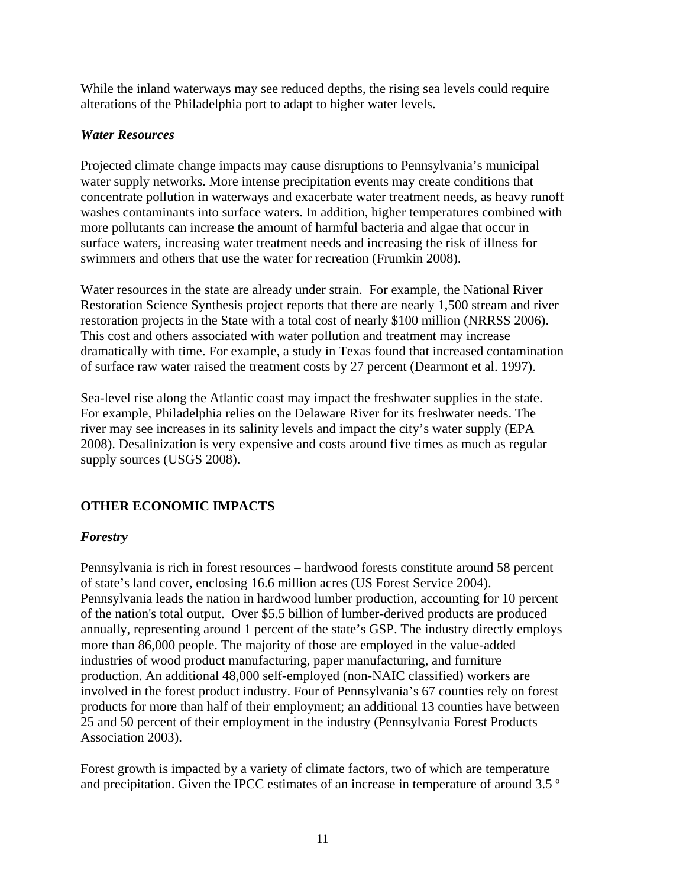While the inland waterways may see reduced depths, the rising sea levels could require alterations of the Philadelphia port to adapt to higher water levels.

#### *Water Resources*

Projected climate change impacts may cause disruptions to Pennsylvania's municipal water supply networks. More intense precipitation events may create conditions that concentrate pollution in waterways and exacerbate water treatment needs, as heavy runoff washes contaminants into surface waters. In addition, higher temperatures combined with more pollutants can increase the amount of harmful bacteria and algae that occur in surface waters, increasing water treatment needs and increasing the risk of illness for swimmers and others that use the water for recreation (Frumkin 2008).

Water resources in the state are already under strain. For example, the National River Restoration Science Synthesis project reports that there are nearly 1,500 stream and river restoration projects in the State with a total cost of nearly \$100 million (NRRSS 2006). This cost and others associated with water pollution and treatment may increase dramatically with time. For example, a study in Texas found that increased contamination of surface raw water raised the treatment costs by 27 percent (Dearmont et al. 1997).

Sea-level rise along the Atlantic coast may impact the freshwater supplies in the state. For example, Philadelphia relies on the Delaware River for its freshwater needs. The river may see increases in its salinity levels and impact the city's water supply (EPA 2008). Desalinization is very expensive and costs around five times as much as regular supply sources (USGS 2008).

## **OTHER ECONOMIC IMPACTS**

## *Forestry*

Pennsylvania is rich in forest resources – hardwood forests constitute around 58 percent of state's land cover, enclosing 16.6 million acres (US Forest Service 2004). Pennsylvania leads the nation in hardwood lumber production, accounting for 10 percent of the nation's total output. Over \$5.5 billion of lumber-derived products are produced annually, representing around 1 percent of the state's GSP. The industry directly employs more than 86,000 people. The majority of those are employed in the value-added industries of wood product manufacturing, paper manufacturing, and furniture production. An additional 48,000 self-employed (non-NAIC classified) workers are involved in the forest product industry. Four of Pennsylvania's 67 counties rely on forest products for more than half of their employment; an additional 13 counties have between 25 and 50 percent of their employment in the industry (Pennsylvania Forest Products Association 2003).

Forest growth is impacted by a variety of climate factors, two of which are temperature and precipitation. Given the IPCC estimates of an increase in temperature of around 3.5 º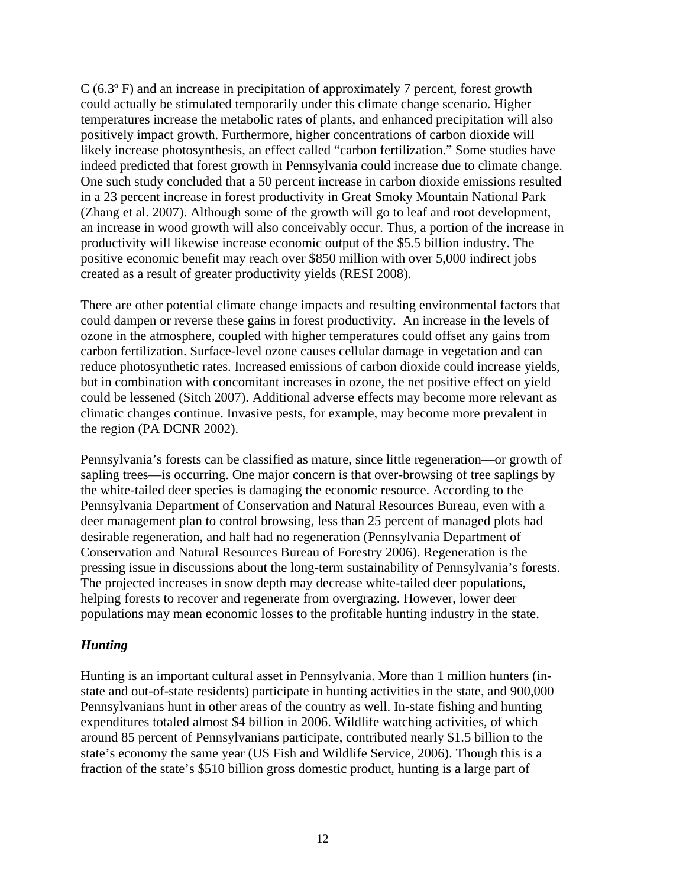C (6.3º F) and an increase in precipitation of approximately 7 percent, forest growth could actually be stimulated temporarily under this climate change scenario. Higher temperatures increase the metabolic rates of plants, and enhanced precipitation will also positively impact growth. Furthermore, higher concentrations of carbon dioxide will likely increase photosynthesis, an effect called "carbon fertilization." Some studies have indeed predicted that forest growth in Pennsylvania could increase due to climate change. One such study concluded that a 50 percent increase in carbon dioxide emissions resulted in a 23 percent increase in forest productivity in Great Smoky Mountain National Park (Zhang et al. 2007). Although some of the growth will go to leaf and root development, an increase in wood growth will also conceivably occur. Thus, a portion of the increase in productivity will likewise increase economic output of the \$5.5 billion industry. The positive economic benefit may reach over \$850 million with over 5,000 indirect jobs created as a result of greater productivity yields (RESI 2008).

There are other potential climate change impacts and resulting environmental factors that could dampen or reverse these gains in forest productivity. An increase in the levels of ozone in the atmosphere, coupled with higher temperatures could offset any gains from carbon fertilization. Surface-level ozone causes cellular damage in vegetation and can reduce photosynthetic rates. Increased emissions of carbon dioxide could increase yields, but in combination with concomitant increases in ozone, the net positive effect on yield could be lessened (Sitch 2007). Additional adverse effects may become more relevant as climatic changes continue. Invasive pests, for example, may become more prevalent in the region (PA DCNR 2002).

Pennsylvania's forests can be classified as mature, since little regeneration—or growth of sapling trees—is occurring. One major concern is that over-browsing of tree saplings by the white-tailed deer species is damaging the economic resource. According to the Pennsylvania Department of Conservation and Natural Resources Bureau, even with a deer management plan to control browsing, less than 25 percent of managed plots had desirable regeneration, and half had no regeneration (Pennsylvania Department of Conservation and Natural Resources Bureau of Forestry 2006). Regeneration is the pressing issue in discussions about the long-term sustainability of Pennsylvania's forests. The projected increases in snow depth may decrease white-tailed deer populations, helping forests to recover and regenerate from overgrazing. However, lower deer populations may mean economic losses to the profitable hunting industry in the state.

## *Hunting*

Hunting is an important cultural asset in Pennsylvania. More than 1 million hunters (instate and out-of-state residents) participate in hunting activities in the state, and 900,000 Pennsylvanians hunt in other areas of the country as well. In-state fishing and hunting expenditures totaled almost \$4 billion in 2006. Wildlife watching activities, of which around 85 percent of Pennsylvanians participate, contributed nearly \$1.5 billion to the state's economy the same year (US Fish and Wildlife Service, 2006). Though this is a fraction of the state's \$510 billion gross domestic product, hunting is a large part of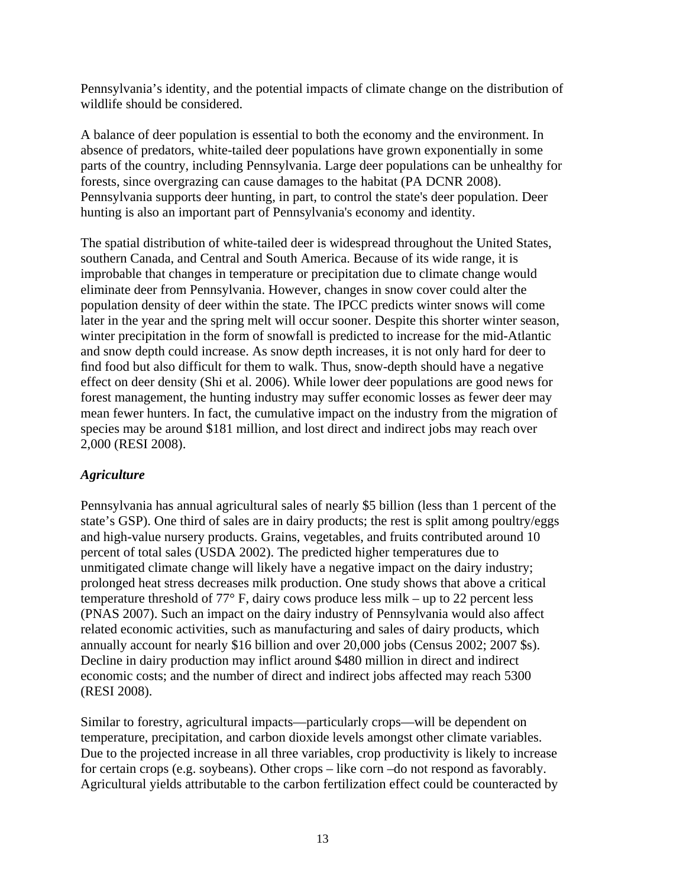Pennsylvania's identity, and the potential impacts of climate change on the distribution of wildlife should be considered.

A balance of deer population is essential to both the economy and the environment. In absence of predators, white-tailed deer populations have grown exponentially in some parts of the country, including Pennsylvania. Large deer populations can be unhealthy for forests, since overgrazing can cause damages to the habitat (PA DCNR 2008). Pennsylvania supports deer hunting, in part, to control the state's deer population. Deer hunting is also an important part of Pennsylvania's economy and identity.

The spatial distribution of white-tailed deer is widespread throughout the United States, southern Canada, and Central and South America. Because of its wide range, it is improbable that changes in temperature or precipitation due to climate change would eliminate deer from Pennsylvania. However, changes in snow cover could alter the population density of deer within the state. The IPCC predicts winter snows will come later in the year and the spring melt will occur sooner. Despite this shorter winter season, winter precipitation in the form of snowfall is predicted to increase for the mid-Atlantic and snow depth could increase. As snow depth increases, it is not only hard for deer to find food but also difficult for them to walk. Thus, snow-depth should have a negative effect on deer density (Shi et al. 2006). While lower deer populations are good news for forest management, the hunting industry may suffer economic losses as fewer deer may mean fewer hunters. In fact, the cumulative impact on the industry from the migration of species may be around \$181 million, and lost direct and indirect jobs may reach over 2,000 (RESI 2008).

## *Agriculture*

Pennsylvania has annual agricultural sales of nearly \$5 billion (less than 1 percent of the state's GSP). One third of sales are in dairy products; the rest is split among poultry/eggs and high-value nursery products. Grains, vegetables, and fruits contributed around 10 percent of total sales (USDA 2002). The predicted higher temperatures due to unmitigated climate change will likely have a negative impact on the dairy industry; prolonged heat stress decreases milk production. One study shows that above a critical temperature threshold of 77° F, dairy cows produce less milk – up to 22 percent less (PNAS 2007). Such an impact on the dairy industry of Pennsylvania would also affect related economic activities, such as manufacturing and sales of dairy products, which annually account for nearly \$16 billion and over 20,000 jobs (Census 2002; 2007 \$s). Decline in dairy production may inflict around \$480 million in direct and indirect economic costs; and the number of direct and indirect jobs affected may reach 5300 (RESI 2008).

Similar to forestry, agricultural impacts—particularly crops—will be dependent on temperature, precipitation, and carbon dioxide levels amongst other climate variables. Due to the projected increase in all three variables, crop productivity is likely to increase for certain crops (e.g. soybeans). Other crops – like corn –do not respond as favorably. Agricultural yields attributable to the carbon fertilization effect could be counteracted by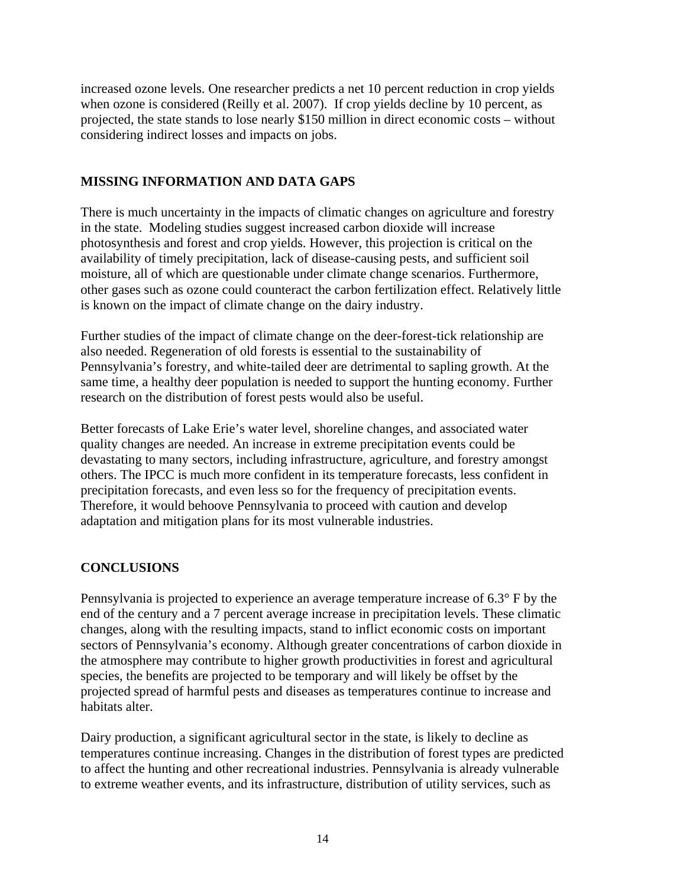increased ozone levels. One researcher predicts a net 10 percent reduction in crop yields when ozone is considered (Reilly et al. 2007). If crop yields decline by 10 percent, as projected, the state stands to lose nearly \$150 million in direct economic costs – without considering indirect losses and impacts on jobs.

## **MISSING INFORMATION AND DATA GAPS**

There is much uncertainty in the impacts of climatic changes on agriculture and forestry in the state. Modeling studies suggest increased carbon dioxide will increase photosynthesis and forest and crop yields. However, this projection is critical on the availability of timely precipitation, lack of disease-causing pests, and sufficient soil moisture, all of which are questionable under climate change scenarios. Furthermore, other gases such as ozone could counteract the carbon fertilization effect. Relatively little is known on the impact of climate change on the dairy industry.

Further studies of the impact of climate change on the deer-forest-tick relationship are also needed. Regeneration of old forests is essential to the sustainability of Pennsylvania's forestry, and white-tailed deer are detrimental to sapling growth. At the same time, a healthy deer population is needed to support the hunting economy. Further research on the distribution of forest pests would also be useful.

Better forecasts of Lake Erie's water level, shoreline changes, and associated water quality changes are needed. An increase in extreme precipitation events could be devastating to many sectors, including infrastructure, agriculture, and forestry amongst others. The IPCC is much more confident in its temperature forecasts, less confident in precipitation forecasts, and even less so for the frequency of precipitation events. Therefore, it would behoove Pennsylvania to proceed with caution and develop adaptation and mitigation plans for its most vulnerable industries.

## **CONCLUSIONS**

Pennsylvania is projected to experience an average temperature increase of 6.3° F by the end of the century and a 7 percent average increase in precipitation levels. These climatic changes, along with the resulting impacts, stand to inflict economic costs on important sectors of Pennsylvania's economy. Although greater concentrations of carbon dioxide in the atmosphere may contribute to higher growth productivities in forest and agricultural species, the benefits are projected to be temporary and will likely be offset by the projected spread of harmful pests and diseases as temperatures continue to increase and habitats alter.

Dairy production, a significant agricultural sector in the state, is likely to decline as temperatures continue increasing. Changes in the distribution of forest types are predicted to affect the hunting and other recreational industries. Pennsylvania is already vulnerable to extreme weather events, and its infrastructure, distribution of utility services, such as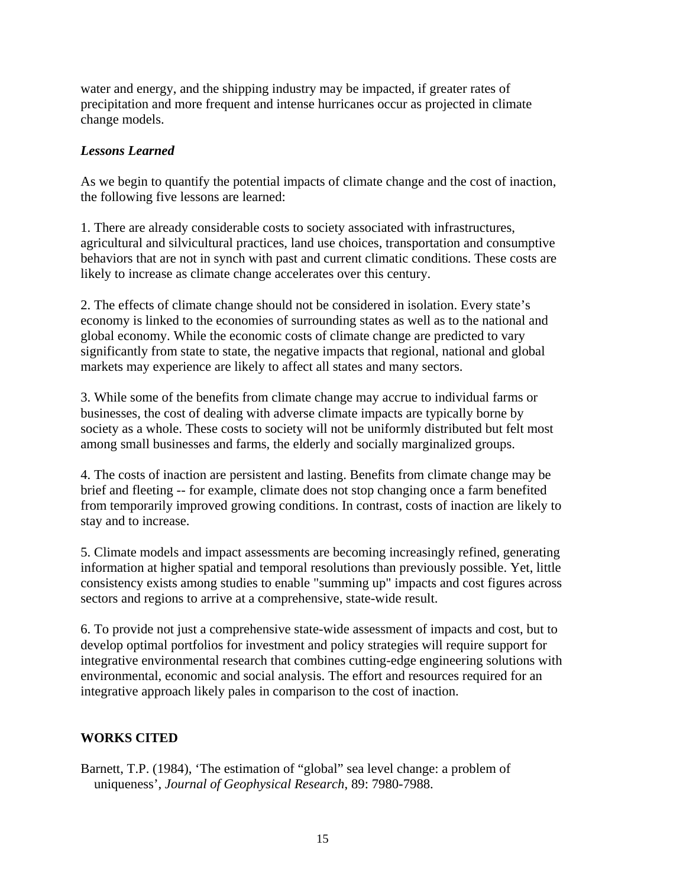water and energy, and the shipping industry may be impacted, if greater rates of precipitation and more frequent and intense hurricanes occur as projected in climate change models.

#### *Lessons Learned*

As we begin to quantify the potential impacts of climate change and the cost of inaction, the following five lessons are learned:

1. There are already considerable costs to society associated with infrastructures, agricultural and silvicultural practices, land use choices, transportation and consumptive behaviors that are not in synch with past and current climatic conditions. These costs are likely to increase as climate change accelerates over this century.

2. The effects of climate change should not be considered in isolation. Every state's economy is linked to the economies of surrounding states as well as to the national and global economy. While the economic costs of climate change are predicted to vary significantly from state to state, the negative impacts that regional, national and global markets may experience are likely to affect all states and many sectors.

3. While some of the benefits from climate change may accrue to individual farms or businesses, the cost of dealing with adverse climate impacts are typically borne by society as a whole. These costs to society will not be uniformly distributed but felt most among small businesses and farms, the elderly and socially marginalized groups.

4. The costs of inaction are persistent and lasting. Benefits from climate change may be brief and fleeting -- for example, climate does not stop changing once a farm benefited from temporarily improved growing conditions. In contrast, costs of inaction are likely to stay and to increase.

5. Climate models and impact assessments are becoming increasingly refined, generating information at higher spatial and temporal resolutions than previously possible. Yet, little consistency exists among studies to enable "summing up" impacts and cost figures across sectors and regions to arrive at a comprehensive, state-wide result.

6. To provide not just a comprehensive state-wide assessment of impacts and cost, but to develop optimal portfolios for investment and policy strategies will require support for integrative environmental research that combines cutting-edge engineering solutions with environmental, economic and social analysis. The effort and resources required for an integrative approach likely pales in comparison to the cost of inaction.

## **WORKS CITED**

Barnett, T.P. (1984), 'The estimation of "global" sea level change: a problem of uniqueness', *Journal of Geophysical Research*, 89: 7980-7988.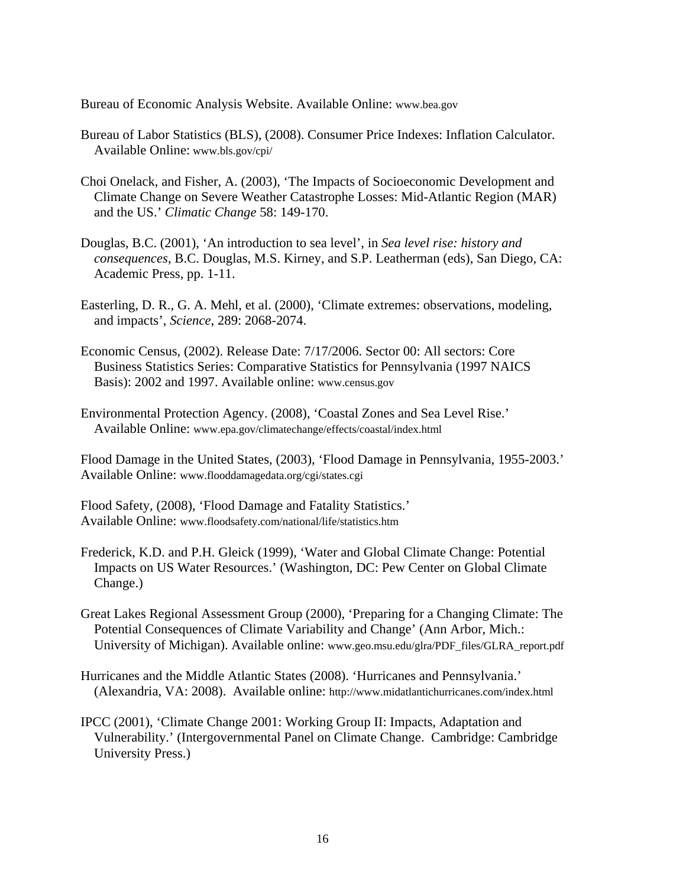Bureau of Economic Analysis Website. Available Online: www.bea.gov

- Bureau of Labor Statistics (BLS), (2008). Consumer Price Indexes: Inflation Calculator. Available Online: www.bls.gov/cpi/
- Choi Onelack, and Fisher, A. (2003), 'The Impacts of Socioeconomic Development and Climate Change on Severe Weather Catastrophe Losses: Mid-Atlantic Region (MAR) and the US.' *Climatic Change* 58: 149-170.
- Douglas, B.C. (2001), 'An introduction to sea level', in *Sea level rise: history and consequences*, B.C. Douglas, M.S. Kirney, and S.P. Leatherman (eds), San Diego, CA: Academic Press, pp. 1-11.
- Easterling, D. R., G. A. Mehl, et al. (2000), 'Climate extremes: observations, modeling, and impacts', *Science*, 289: 2068-2074.
- Economic Census, (2002). Release Date: 7/17/2006. Sector 00: All sectors: Core Business Statistics Series: Comparative Statistics for Pennsylvania (1997 NAICS Basis): 2002 and 1997. Available online: www.census.gov
- Environmental Protection Agency. (2008), 'Coastal Zones and Sea Level Rise.' Available Online: www.epa.gov/climatechange/effects/coastal/index.html

Flood Damage in the United States, (2003), 'Flood Damage in Pennsylvania, 1955-2003.' Available Online: www.flooddamagedata.org/cgi/states.cgi

Flood Safety, (2008), 'Flood Damage and Fatality Statistics.' Available Online: www.floodsafety.com/national/life/statistics.htm

- Frederick, K.D. and P.H. Gleick (1999), 'Water and Global Climate Change: Potential Impacts on US Water Resources.' (Washington, DC: Pew Center on Global Climate Change.)
- Great Lakes Regional Assessment Group (2000), 'Preparing for a Changing Climate: The Potential Consequences of Climate Variability and Change' (Ann Arbor, Mich.: University of Michigan). Available online: www.geo.msu.edu/glra/PDF\_files/GLRA\_report.pdf
- Hurricanes and the Middle Atlantic States (2008). 'Hurricanes and Pennsylvania.' (Alexandria, VA: 2008). Available online: http://www.midatlantichurricanes.com/index.html
- IPCC (2001), 'Climate Change 2001: Working Group II: Impacts, Adaptation and Vulnerability.' (Intergovernmental Panel on Climate Change. Cambridge: Cambridge University Press.)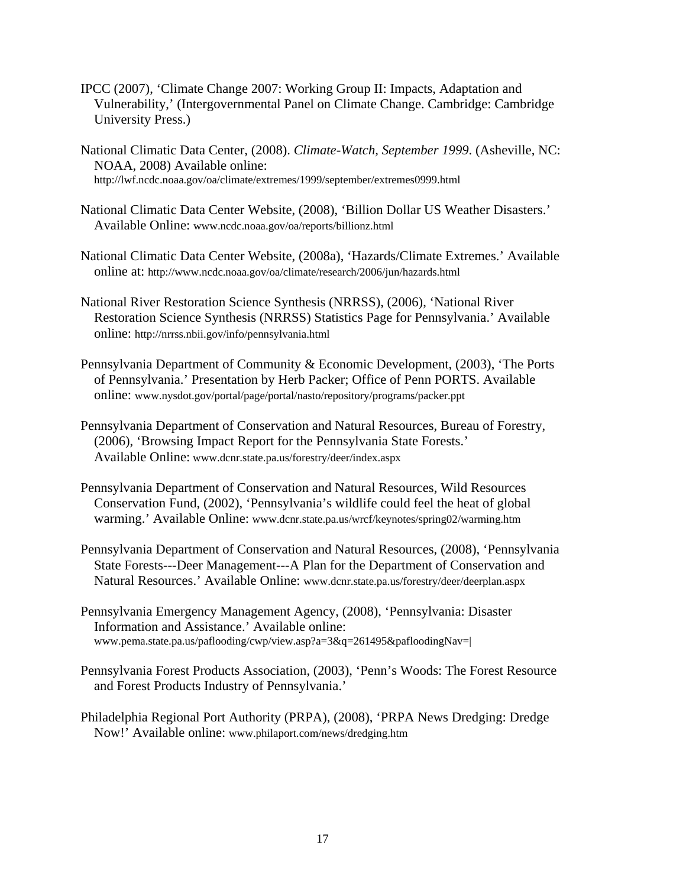IPCC (2007), 'Climate Change 2007: Working Group II: Impacts, Adaptation and Vulnerability,' (Intergovernmental Panel on Climate Change. Cambridge: Cambridge University Press.)

National Climatic Data Center, (2008). *Climate-Watch, September 1999*. (Asheville, NC: NOAA, 2008) Available online: http://lwf.ncdc.noaa.gov/oa/climate/extremes/1999/september/extremes0999.html

- National Climatic Data Center Website, (2008), 'Billion Dollar US Weather Disasters.' Available Online: www.ncdc.noaa.gov/oa/reports/billionz.html
- National Climatic Data Center Website, (2008a), 'Hazards/Climate Extremes.' Available online at: http://www.ncdc.noaa.gov/oa/climate/research/2006/jun/hazards.html
- National River Restoration Science Synthesis (NRRSS), (2006), 'National River Restoration Science Synthesis (NRRSS) Statistics Page for Pennsylvania.' Available online: http://nrrss.nbii.gov/info/pennsylvania.html
- Pennsylvania Department of Community & Economic Development, (2003), 'The Ports of Pennsylvania.' Presentation by Herb Packer; Office of Penn PORTS. Available online: www.nysdot.gov/portal/page/portal/nasto/repository/programs/packer.ppt
- Pennsylvania Department of Conservation and Natural Resources, Bureau of Forestry, (2006), 'Browsing Impact Report for the Pennsylvania State Forests.' Available Online: www.dcnr.state.pa.us/forestry/deer/index.aspx
- Pennsylvania Department of Conservation and Natural Resources, Wild Resources Conservation Fund, (2002), 'Pennsylvania's wildlife could feel the heat of global warming.' Available Online: www.dcnr.state.pa.us/wrcf/keynotes/spring02/warming.htm
- Pennsylvania Department of Conservation and Natural Resources, (2008), 'Pennsylvania State Forests---Deer Management---A Plan for the Department of Conservation and Natural Resources.' Available Online: www.dcnr.state.pa.us/forestry/deer/deerplan.aspx
- Pennsylvania Emergency Management Agency, (2008), 'Pennsylvania: Disaster Information and Assistance.' Available online: www.pema.state.pa.us/paflooding/cwp/view.asp?a=3&q=261495&pafloodingNav=|
- Pennsylvania Forest Products Association, (2003), 'Penn's Woods: The Forest Resource and Forest Products Industry of Pennsylvania.'
- Philadelphia Regional Port Authority (PRPA), (2008), 'PRPA News Dredging: Dredge Now!' Available online: www.philaport.com/news/dredging.htm